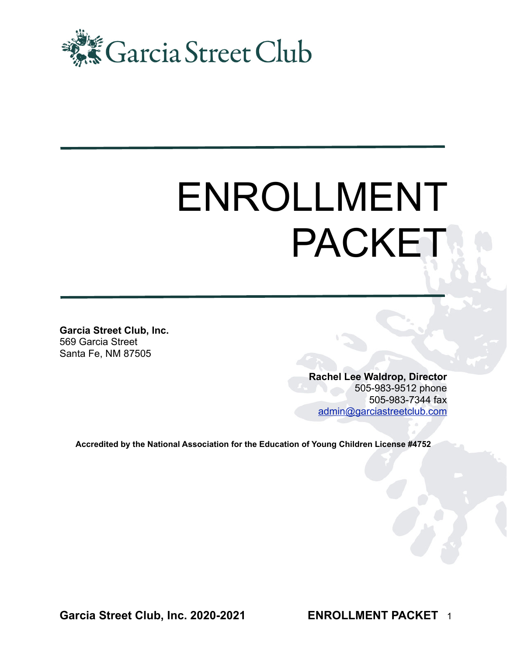

# ENROLLMENT PACKET

**Garcia Street Club, Inc.** 569 Garcia Street Santa Fe, NM 87505

> **Rachel Lee Waldrop, Director**  505-983-9512 phone 505-983-7344 fax [admin@garciastreetclub.com](mailto:admin@garciastreetclub.com)

**Accredited by the National Association for the Education of Young Children License #4752**

**Garcia Street Club, Inc. 2020-2021** 

**ENROLLMENT PACKET** 1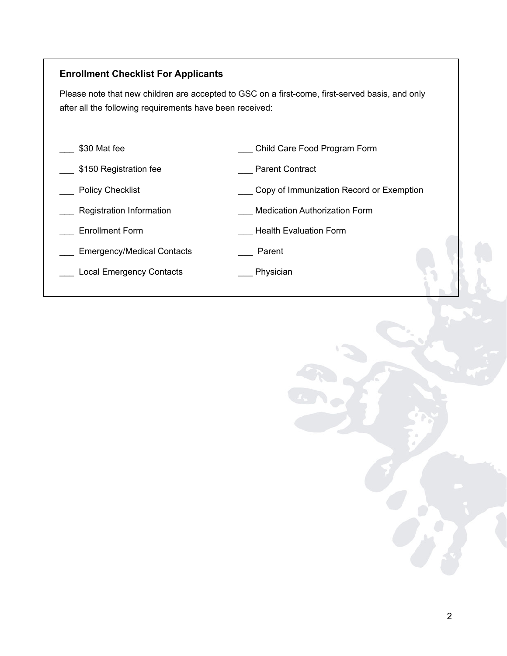#### **Enrollment Checklist For Applicants**

Please note that new children are accepted to GSC on a first-come, first-served basis, and only after all the following requirements have been received:

- 
- \_\_\_ \$30 Mat fee \_\_\_ \_\_\_ Child Care Food Program Form
- \_\_\_ \$150 Registration fee \_\_\_ Parent Contract
- Letter Policy Checklist **Exemption Letter Section** Copy of Immunization Record or Exemption
- 
- 
- Emergency/Medical Contacts **Emergency**
- \_\_\_ Local Emergency Contacts \_\_\_ Physician
- 
- \_\_\_ Registration Information \_\_\_ Medication Authorization Form
- \_\_\_ Enrollment Form \_\_\_ Health Evaluation Form
	- -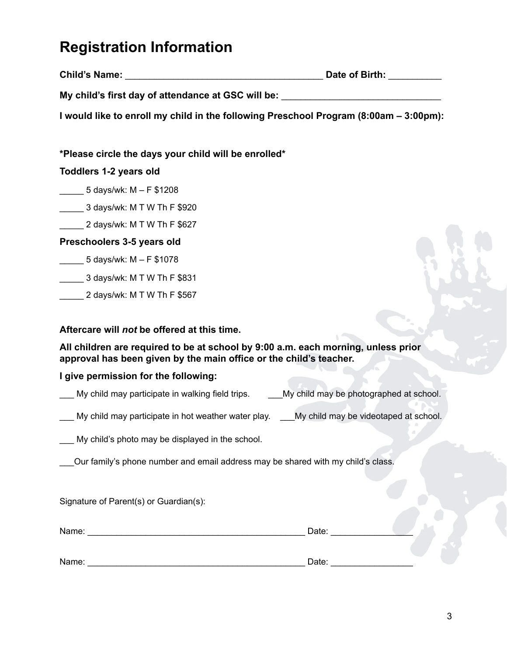## **Registration Information**

| <b>Child's Name:</b> | Date of Birth: |  |
|----------------------|----------------|--|
|                      |                |  |

My child's first day of attendance at GSC will be:

**I would like to enroll my child in the following Preschool Program (8:00am – 3:00pm):** 

**\*Please circle the days your child will be enrolled\*** 

### **Toddlers 1-2 years old**

- \_\_\_\_\_ 5 days/wk: M F \$1208
- \_\_\_\_\_ 3 days/wk: M T W Th F \$920
- \_\_\_\_\_ 2 days/wk: M T W Th F \$627

## **Preschoolers 3-5 years old**

- \_\_\_\_\_ 5 days/wk: M F \$1078
- \_\_\_\_\_ 3 days/wk: M T W Th F \$831
- \_\_\_\_\_ 2 days/wk: M T W Th F \$567

## **Aftercare will** *not* **be offered at this time.**

**All children are required to be at school by 9:00 a.m. each morning, unless prior approval has been given by the main office or the child's teacher.** 

### **I give permission for the following:**

- My child may participate in walking field trips. \_\_\_My child may be photographed at school.
- My child may participate in hot weather water play. \_\_\_My child may be videotaped at school.

My child's photo may be displayed in the school.

\_\_\_Our family's phone number and email address may be shared with my child's class.

Signature of Parent(s) or Guardian(s):

| Name: | Date: |  |
|-------|-------|--|
|       |       |  |
| Name: | Date: |  |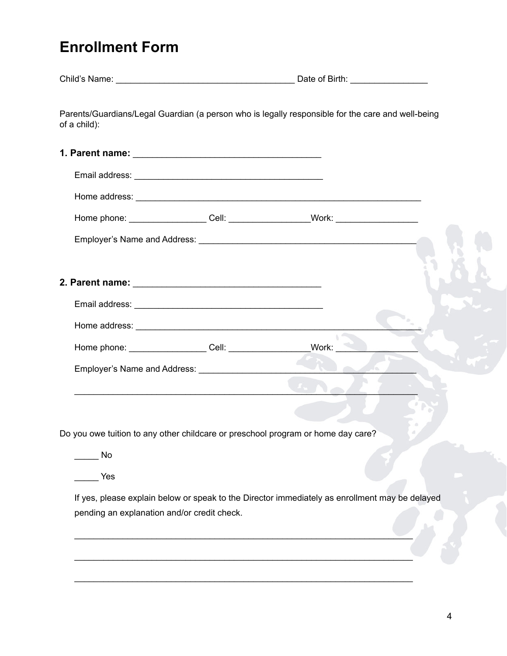## **Enrollment Form**

| of a child):                                                                                                                                                                                                                   | Parents/Guardians/Legal Guardian (a person who is legally responsible for the care and well-being |
|--------------------------------------------------------------------------------------------------------------------------------------------------------------------------------------------------------------------------------|---------------------------------------------------------------------------------------------------|
|                                                                                                                                                                                                                                |                                                                                                   |
|                                                                                                                                                                                                                                |                                                                                                   |
|                                                                                                                                                                                                                                |                                                                                                   |
|                                                                                                                                                                                                                                | Home phone: _____________________Cell: ____________________Work: _______________                  |
|                                                                                                                                                                                                                                |                                                                                                   |
|                                                                                                                                                                                                                                |                                                                                                   |
| 2. Parent name: Williams and Contract and Contract of the Contract of the Contract of the Contract of the Contract of the Contract of the Contract of the Contract of the Contract of the Contract of the Contract of the Cont |                                                                                                   |
|                                                                                                                                                                                                                                |                                                                                                   |
|                                                                                                                                                                                                                                |                                                                                                   |
| Home phone: _____________________Cell: ________________________Work: __                                                                                                                                                        |                                                                                                   |
|                                                                                                                                                                                                                                |                                                                                                   |
|                                                                                                                                                                                                                                |                                                                                                   |
|                                                                                                                                                                                                                                |                                                                                                   |
|                                                                                                                                                                                                                                | Do you owe tuition to any other childcare or preschool program or home day care?                  |
| No                                                                                                                                                                                                                             |                                                                                                   |
| Yes                                                                                                                                                                                                                            |                                                                                                   |
|                                                                                                                                                                                                                                | If yes, please explain below or speak to the Director immediately as enrollment may be delayed    |
| pending an explanation and/or credit check.                                                                                                                                                                                    |                                                                                                   |
|                                                                                                                                                                                                                                |                                                                                                   |
|                                                                                                                                                                                                                                |                                                                                                   |
|                                                                                                                                                                                                                                |                                                                                                   |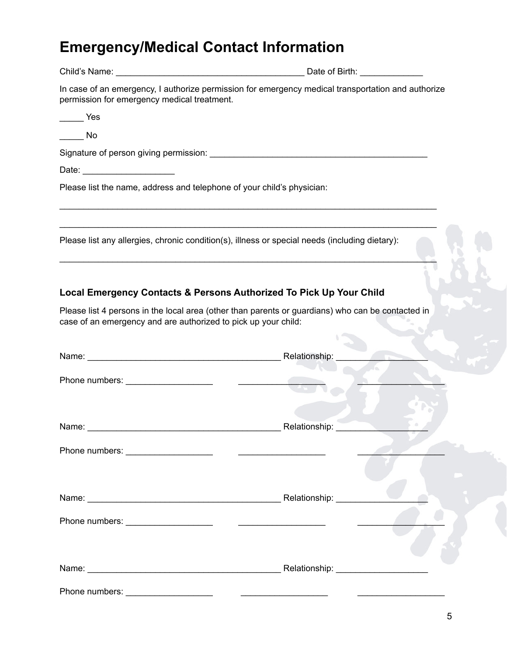# **Emergency/Medical Contact Information**

|                                                                        | Date of Birth: Note that the state of Birth:                                                                                                                             |
|------------------------------------------------------------------------|--------------------------------------------------------------------------------------------------------------------------------------------------------------------------|
| permission for emergency medical treatment.                            | In case of an emergency, I authorize permission for emergency medical transportation and authorize                                                                       |
| <b>Example Yes</b>                                                     |                                                                                                                                                                          |
| $\rule{1em}{0.15mm}$ No                                                |                                                                                                                                                                          |
|                                                                        |                                                                                                                                                                          |
| Date: _________________________                                        |                                                                                                                                                                          |
| Please list the name, address and telephone of your child's physician: |                                                                                                                                                                          |
|                                                                        | Please list any allergies, chronic condition(s), illness or special needs (including dietary):                                                                           |
| case of an emergency and are authorized to pick up your child:         | Local Emergency Contacts & Persons Authorized To Pick Up Your Child<br>Please list 4 persons in the local area (other than parents or guardians) who can be contacted in |
|                                                                        |                                                                                                                                                                          |
|                                                                        | Relationship:                                                                                                                                                            |
|                                                                        |                                                                                                                                                                          |
|                                                                        |                                                                                                                                                                          |
|                                                                        | Relationship:                                                                                                                                                            |
|                                                                        |                                                                                                                                                                          |
|                                                                        |                                                                                                                                                                          |
|                                                                        |                                                                                                                                                                          |
|                                                                        |                                                                                                                                                                          |
|                                                                        |                                                                                                                                                                          |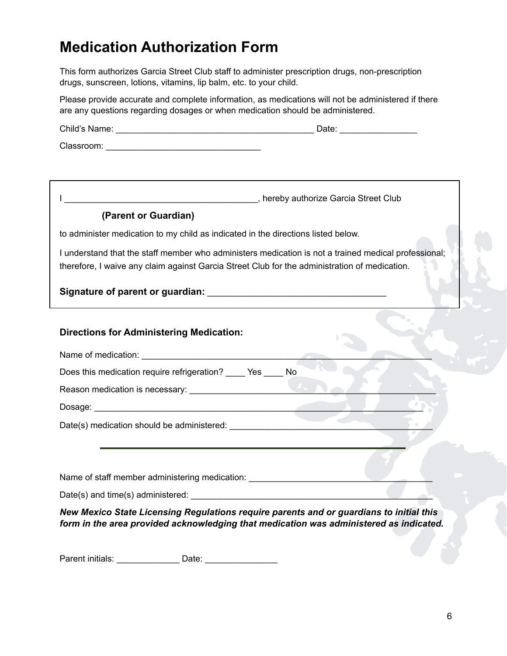## **Medication Authorization Form**

This form authorizes Garcia Street Club staff to administer prescription drugs, non-prescription drugs, sunscreen, lotions, vitamins, lip balm, etc. to your child.

Please provide accurate and complete information, as medications will not be administered if there are any questions regarding dosages or when medication should be administered.

Child's Name: \_\_\_\_\_\_\_\_\_\_\_\_\_\_\_\_\_\_\_\_\_\_\_\_\_\_\_\_\_\_\_\_\_\_\_\_\_\_\_\_\_ Date: \_\_\_\_\_\_\_\_\_\_\_\_\_\_\_\_

Classroom: \_\_\_\_\_\_\_\_\_\_\_\_\_\_\_\_\_\_\_\_\_\_\_\_\_\_\_\_\_\_\_\_

I \_\_\_\_\_\_\_\_\_\_\_\_\_\_\_\_\_\_\_\_\_\_\_\_\_\_\_\_\_\_\_\_\_\_\_\_\_\_\_\_, hereby authorize Garcia Street Club

#### **(Parent or Guardian)**

to administer medication to my child as indicated in the directions listed below.

I understand that the staff member who administers medication is not a trained medical professional; therefore, I waive any claim against Garcia Street Club for the administration of medication.

#### **Signature of parent or guardian:**  $\blacksquare$

#### **Directions for Administering Medication:**

| Name of medication:                                |  |  |
|----------------------------------------------------|--|--|
| Does this medication require refrigeration? Yes No |  |  |
| Reason medication is necessary:                    |  |  |
| Dosage:                                            |  |  |
| Date(s) medication should be administered:         |  |  |
|                                                    |  |  |
|                                                    |  |  |
| Name of staff member administering medication:     |  |  |

Date(s) and time(s) administered:  $\Box$ 

*New Mexico State Licensing Regulations require parents and or guardians to initial this form in the area provided acknowledging that medication was administered as indicated.*

Parent initials: \_\_\_\_\_\_\_\_\_\_\_\_\_ Date: \_\_\_\_\_\_\_\_\_\_\_\_\_\_\_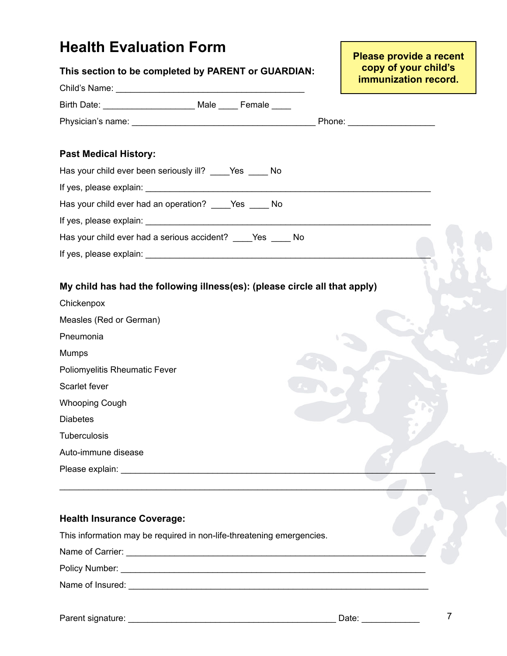## **Health Evaluation Form**

| This section to be completed by PARENT or GUARDIAN:                                                                                                                                                                            | copy of your child's |
|--------------------------------------------------------------------------------------------------------------------------------------------------------------------------------------------------------------------------------|----------------------|
|                                                                                                                                                                                                                                | immunization record. |
| Birth Date: ________________________ Male _____ Female ____                                                                                                                                                                    |                      |
|                                                                                                                                                                                                                                |                      |
| <b>Past Medical History:</b>                                                                                                                                                                                                   |                      |
| Has your child ever been seriously ill? ____Yes ____ No                                                                                                                                                                        |                      |
|                                                                                                                                                                                                                                |                      |
| Has your child ever had an operation? ____Yes ____ No                                                                                                                                                                          |                      |
|                                                                                                                                                                                                                                |                      |
| Has your child ever had a serious accident? _____ Yes _____ No                                                                                                                                                                 |                      |
|                                                                                                                                                                                                                                |                      |
|                                                                                                                                                                                                                                |                      |
| My child has had the following illness(es): (please circle all that apply)                                                                                                                                                     |                      |
| Chickenpox                                                                                                                                                                                                                     |                      |
| Measles (Red or German)                                                                                                                                                                                                        |                      |
| Pneumonia                                                                                                                                                                                                                      |                      |
| <b>Mumps</b>                                                                                                                                                                                                                   |                      |
| Poliomyelitis Rheumatic Fever                                                                                                                                                                                                  |                      |
| Scarlet fever                                                                                                                                                                                                                  |                      |
| <b>Whooping Cough</b>                                                                                                                                                                                                          |                      |
| <b>Diabetes</b>                                                                                                                                                                                                                |                      |
| Tuberculosis                                                                                                                                                                                                                   |                      |
| Auto-immune disease                                                                                                                                                                                                            |                      |
| Please explain: Note and the set of the set of the set of the set of the set of the set of the set of the set of the set of the set of the set of the set of the set of the set of the set of the set of the set of the set of |                      |
|                                                                                                                                                                                                                                |                      |
|                                                                                                                                                                                                                                |                      |
| <b>Health Insurance Coverage:</b>                                                                                                                                                                                              |                      |

## This information may be required in non-life-threatening emergencies.

Name of Carrier: \_\_\_\_\_\_\_\_\_\_\_\_\_\_\_\_\_\_\_\_\_\_\_\_\_\_\_\_\_\_\_\_\_\_\_\_\_\_\_\_\_\_\_\_\_\_\_\_\_\_\_\_\_\_\_\_\_\_\_\_\_\_

Policy Number: \_\_\_\_\_\_\_\_\_\_\_\_\_\_\_\_\_\_\_\_\_\_\_\_\_\_\_\_\_\_\_\_\_\_\_\_\_\_\_\_\_\_\_\_\_\_\_\_\_\_\_\_\_\_\_\_\_\_\_\_\_\_\_

Name of Insured: \_\_\_\_\_\_\_\_\_\_\_\_\_\_\_\_\_\_\_\_\_\_\_\_\_\_\_\_\_\_\_\_\_\_\_\_\_\_\_\_\_\_\_\_\_\_\_\_\_\_\_\_\_\_\_\_\_\_\_\_\_\_

**Please provide a recent**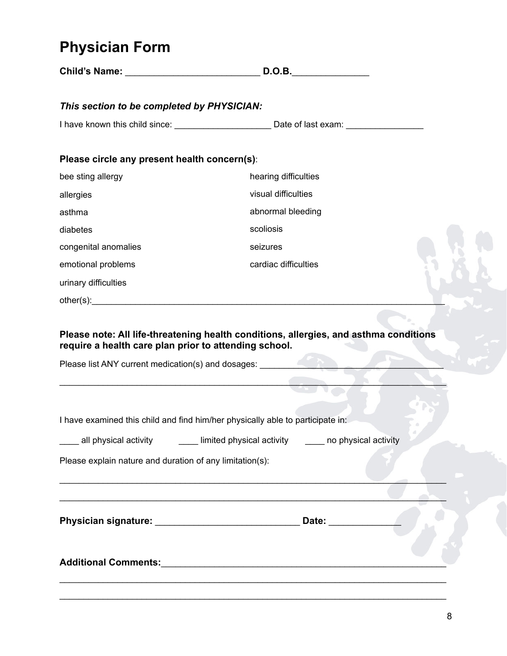## **Physician Form**

|                                                                                | <b>D.O.B.</b>                                                                                       |  |
|--------------------------------------------------------------------------------|-----------------------------------------------------------------------------------------------------|--|
| This section to be completed by PHYSICIAN:                                     |                                                                                                     |  |
|                                                                                | I have known this child since: ___________________________Date of last exam: ______________________ |  |
|                                                                                |                                                                                                     |  |
| Please circle any present health concern(s):                                   |                                                                                                     |  |
| bee sting allergy                                                              | hearing difficulties                                                                                |  |
| allergies                                                                      | visual difficulties                                                                                 |  |
| asthma                                                                         | abnormal bleeding                                                                                   |  |
| diabetes                                                                       | scoliosis                                                                                           |  |
| congenital anomalies                                                           | seizures                                                                                            |  |
| emotional problems                                                             | cardiac difficulties                                                                                |  |
| urinary difficulties                                                           |                                                                                                     |  |
|                                                                                |                                                                                                     |  |
| require a health care plan prior to attending school.                          | Please note: All life-threatening health conditions, allergies, and asthma conditions               |  |
| Please list ANY current medication(s) and dosages:                             |                                                                                                     |  |
|                                                                                |                                                                                                     |  |
| I have examined this child and find him/her physically able to participate in: |                                                                                                     |  |
|                                                                                |                                                                                                     |  |
|                                                                                | ____ all physical activity _______ limited physical activity ______ no physical activity            |  |
| Please explain nature and duration of any limitation(s):                       |                                                                                                     |  |
|                                                                                |                                                                                                     |  |
|                                                                                |                                                                                                     |  |
|                                                                                | Physician signature: __________________________________ Date: _________                             |  |
|                                                                                |                                                                                                     |  |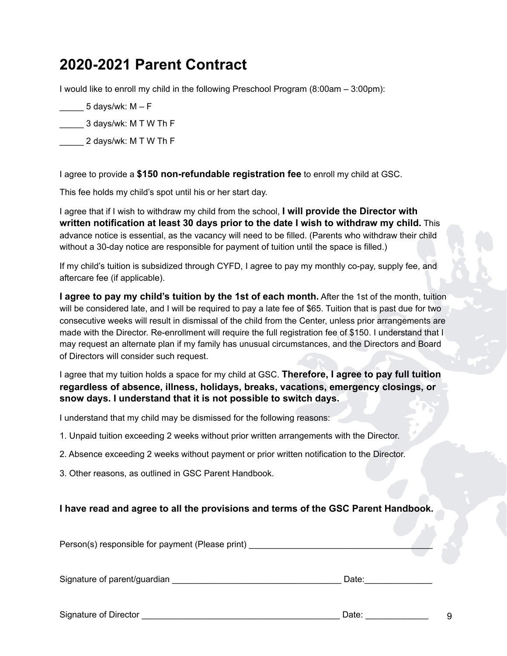## **2020-2021 Parent Contract**

I would like to enroll my child in the following Preschool Program (8:00am – 3:00pm):

5 days/wk:  $M - F$ 

\_\_\_\_\_ 3 days/wk: M T W Th F

\_\_\_\_\_ 2 days/wk: M T W Th F

I agree to provide a **\$150 non-refundable registration fee** to enroll my child at GSC.

This fee holds my child's spot until his or her start day.

I agree that if I wish to withdraw my child from the school, **I will provide the Director with written notification at least 30 days prior to the date I wish to withdraw my child.** This advance notice is essential, as the vacancy will need to be filled. (Parents who withdraw their child without a 30-day notice are responsible for payment of tuition until the space is filled.)

If my child's tuition is subsidized through CYFD, I agree to pay my monthly co-pay, supply fee, and aftercare fee (if applicable).

**I agree to pay my child's tuition by the 1st of each month.** After the 1st of the month, tuition will be considered late, and I will be required to pay a late fee of \$65. Tuition that is past due for two consecutive weeks will result in dismissal of the child from the Center, unless prior arrangements are made with the Director. Re-enrollment will require the full registration fee of \$150. I understand that I may request an alternate plan if my family has unusual circumstances, and the Directors and Board of Directors will consider such request.

I agree that my tuition holds a space for my child at GSC. **Therefore, I agree to pay full tuition regardless of absence, illness, holidays, breaks, vacations, emergency closings, or snow days. I understand that it is not possible to switch days.** 

I understand that my child may be dismissed for the following reasons:

- 1. Unpaid tuition exceeding 2 weeks without prior written arrangements with the Director.
- 2. Absence exceeding 2 weeks without payment or prior written notification to the Director.

3. Other reasons, as outlined in GSC Parent Handbook.

#### **I have read and agree to all the provisions and terms of the GSC Parent Handbook.**

Person(s) responsible for payment (Please print) \_\_\_\_\_\_\_\_\_\_\_\_\_\_\_\_\_\_\_\_\_\_\_\_\_\_\_\_\_\_\_

Signature of parent/guardian **Example 2018** and 2018 and 2019 and 2019 and 2019 and 2019 and 2019 and 2019 and 20

Signature of Director \_\_\_\_\_\_\_\_\_\_\_\_\_\_\_\_\_\_\_\_\_\_\_\_\_\_\_\_\_\_\_\_\_\_\_\_\_\_\_\_\_ Date: \_\_\_\_\_\_\_\_\_\_\_\_\_

9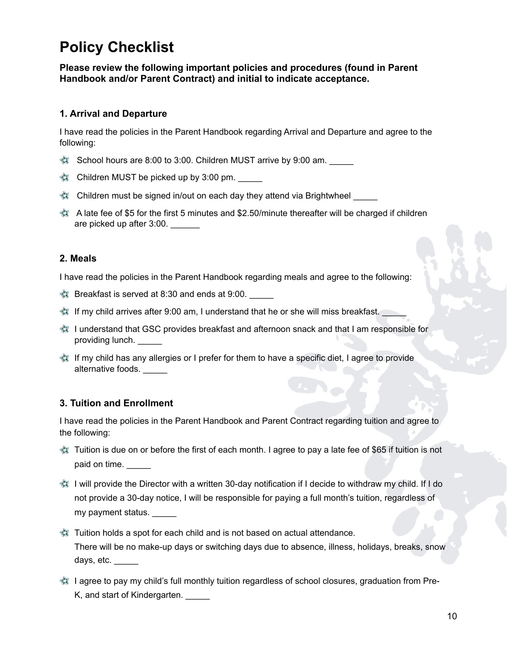## **Policy Checklist**

**Please review the following important policies and procedures (found in Parent Handbook and/or Parent Contract) and initial to indicate acceptance.**

#### **1. Arrival and Departure**

I have read the policies in the Parent Handbook regarding Arrival and Departure and agree to the following:

- School hours are 8:00 to 3:00. Children MUST arrive by 9:00 am.
- Children MUST be picked up by 3:00 pm.
- Children must be signed in/out on each day they attend via Brightwheel \_\_\_\_\_
- A late fee of \$5 for the first 5 minutes and \$2.50/minute thereafter will be charged if children are picked up after 3:00.

#### **2. Meals**

I have read the policies in the Parent Handbook regarding meals and agree to the following:

- Breakfast is served at 8:30 and ends at 9:00.
- If my child arrives after 9:00 am, I understand that he or she will miss breakfast.
- I understand that GSC provides breakfast and afternoon snack and that I am responsible for providing lunch.
- If my child has any allergies or I prefer for them to have a specific diet, I agree to provide alternative foods.

#### **3. Tuition and Enrollment**

I have read the policies in the Parent Handbook and Parent Contract regarding tuition and agree to the following:

- Tuition is due on or before the first of each month. I agree to pay a late fee of \$65 if tuition is not paid on time.
- I will provide the Director with a written 30-day notification if I decide to withdraw my child. If I do not provide a 30-day notice, I will be responsible for paying a full month's tuition, regardless of my payment status.
- Tuition holds a spot for each child and is not based on actual attendance. There will be no make-up days or switching days due to absence, illness, holidays, breaks, snow days, etc.
- I agree to pay my child's full monthly tuition regardless of school closures, graduation from Pre-K, and start of Kindergarten. \_\_\_\_\_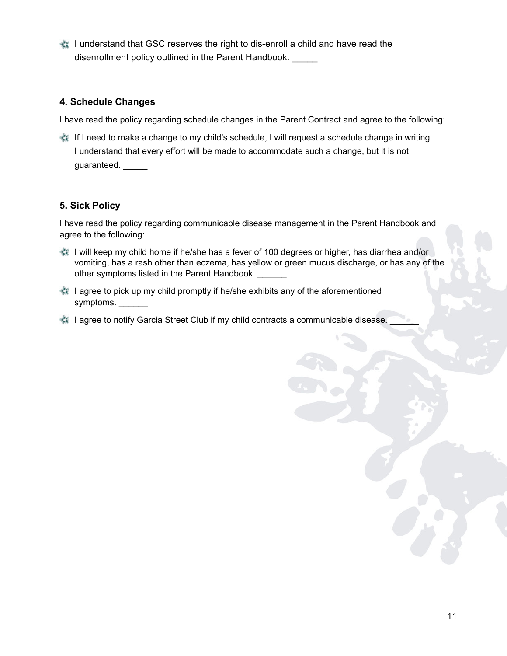I understand that GSC reserves the right to dis-enroll a child and have read the disenrollment policy outlined in the Parent Handbook.

#### **4. Schedule Changes**

I have read the policy regarding schedule changes in the Parent Contract and agree to the following:

**If I need to make a change to my child's schedule, I will request a schedule change in writing.** I understand that every effort will be made to accommodate such a change, but it is not guaranteed.

#### **5. Sick Policy**

I have read the policy regarding communicable disease management in the Parent Handbook and agree to the following:

- I will keep my child home if he/she has a fever of 100 degrees or higher, has diarrhea and/or vomiting, has a rash other than eczema, has yellow or green mucus discharge, or has any of the other symptoms listed in the Parent Handbook.
- I agree to pick up my child promptly if he/she exhibits any of the aforementioned symptoms.
- **I agree to notify Garcia Street Club if my child contracts a communicable disease.**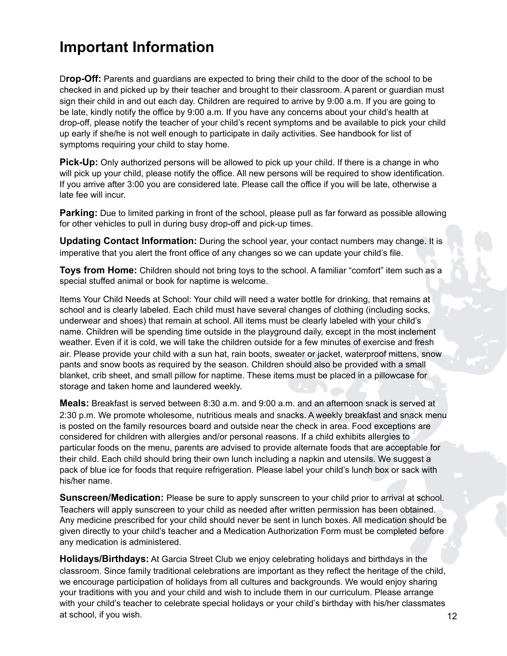## **Important Information**

D**rop-Off:** Parents and guardians are expected to bring their child to the door of the school to be checked in and picked up by their teacher and brought to their classroom. A parent or guardian must sign their child in and out each day. Children are required to arrive by 9:00 a.m. If you are going to be late, kindly notify the office by 9:00 a.m. If you have any concerns about your child's health at drop-off, please notify the teacher of your child's recent symptoms and be available to pick your child up early if she/he is not well enough to participate in daily activities. See handbook for list of symptoms requiring your child to stay home.

**Pick-Up:** Only authorized persons will be allowed to pick up your child. If there is a change in who will pick up your child, please notify the office. All new persons will be required to show identification. If you arrive after 3:00 you are considered late. Please call the office if you will be late, otherwise a late fee will incur.

**Parking:** Due to limited parking in front of the school, please pull as far forward as possible allowing for other vehicles to pull in during busy drop-off and pick-up times.

**Updating Contact Information:** During the school year, your contact numbers may change. It is imperative that you alert the front office of any changes so we can update your child's file.

**Toys from Home:** Children should not bring toys to the school. A familiar "comfort" item such as a special stuffed animal or book for naptime is welcome.

Items Your Child Needs at School: Your child will need a water bottle for drinking, that remains at school and is clearly labeled. Each child must have several changes of clothing (including socks, underwear and shoes) that remain at school. All items must be clearly labeled with your child's name. Children will be spending time outside in the playground daily, except in the most inclement weather. Even if it is cold, we will take the children outside for a few minutes of exercise and fresh air. Please provide your child with a sun hat, rain boots, sweater or jacket, waterproof mittens, snow pants and snow boots as required by the season. Children should also be provided with a small blanket, crib sheet, and small pillow for naptime. These items must be placed in a pillowcase for storage and taken home and laundered weekly.

**Meals:** Breakfast is served between 8:30 a.m. and 9:00 a.m. and an afternoon snack is served at 2:30 p.m. We promote wholesome, nutritious meals and snacks. A weekly breakfast and snack menu is posted on the family resources board and outside near the check in area. Food exceptions are considered for children with allergies and/or personal reasons. If a child exhibits allergies to particular foods on the menu, parents are advised to provide alternate foods that are acceptable for their child. Each child should bring their own lunch including a napkin and utensils. We suggest a pack of blue ice for foods that require refrigeration. Please label your child's lunch box or sack with his/her name.

**Sunscreen/Medication:** Please be sure to apply sunscreen to your child prior to arrival at school. Teachers will apply sunscreen to your child as needed after written permission has been obtained. Any medicine prescribed for your child should never be sent in lunch boxes. All medication should be given directly to your child's teacher and a Medication Authorization Form must be completed before any medication is administered.

**Holidays/Birthdays:** At Garcia Street Club we enjoy celebrating holidays and birthdays in the classroom. Since family traditional celebrations are important as they reflect the heritage of the child, we encourage participation of holidays from all cultures and backgrounds. We would enjoy sharing your traditions with you and your child and wish to include them in our curriculum. Please arrange with your child's teacher to celebrate special holidays or your child's birthday with his/her classmates at school, if you wish.